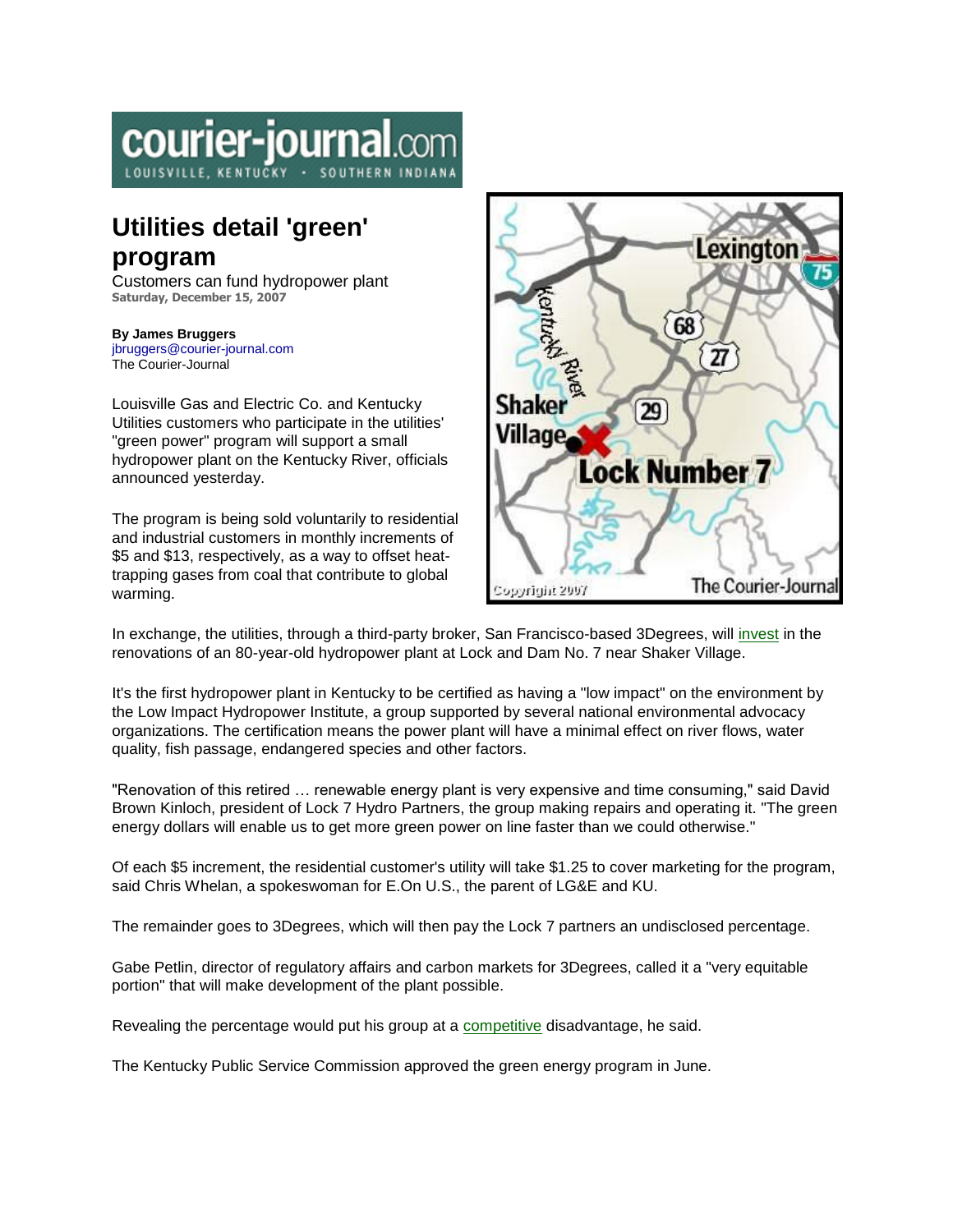## courier-journal.co

## **Utilities detail 'green' program**

Customers can fund hydropower plant **Saturday, December 15, 2007**

## **By James Bruggers**

[jbruggers@courier-journal.com](mailto:jbruggers@courier-journal.com) The Courier-Journal

Louisville Gas and Electric Co. and Kentucky Utilities customers who participate in the utilities' "green power" program will support a small hydropower plant on the Kentucky River, officials announced yesterday.

The program is being sold voluntarily to residential and industrial customers in monthly increments of \$5 and \$13, respectively, as a way to offset heattrapping gases from coal that contribute to global warming.



In exchange, the utilities, through a third-party broker, San Francisco-based 3Degrees, will [invest](http://www.courier-journal.com/apps/pbcs.dll/article?AID=/20071215/BUSINESS/712150397) in the renovations of an 80-year-old hydropower plant at Lock and Dam No. 7 near Shaker Village.

It's the first hydropower plant in Kentucky to be certified as having a "low impact" on the environment by the Low Impact Hydropower Institute, a group supported by several national environmental advocacy organizations. The certification means the power plant will have a minimal effect on river flows, water quality, fish passage, endangered species and other factors.

"Renovation of this retired … renewable energy plant is very expensive and time consuming," said David Brown Kinloch, president of Lock 7 Hydro Partners, the group making repairs and operating it. "The green energy dollars will enable us to get more green power on line faster than we could otherwise."

Of each \$5 increment, the residential customer's utility will take \$1.25 to cover marketing for the program, said Chris Whelan, a spokeswoman for E.On U.S., the parent of LG&E and KU.

The remainder goes to 3Degrees, which will then pay the Lock 7 partners an undisclosed percentage.

Gabe Petlin, director of regulatory affairs and carbon markets for 3Degrees, called it a "very equitable portion" that will make development of the plant possible.

Revealing the percentage would put his group at a [competitive](http://www.courier-journal.com/apps/pbcs.dll/article?AID=/20071215/BUSINESS/712150397) disadvantage, he said.

The Kentucky Public Service Commission approved the green energy program in June.